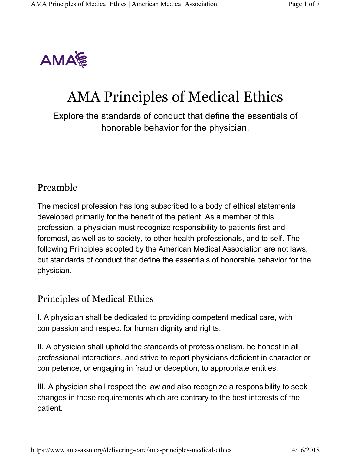

# AMA Principles of Medical Ethics

Explore the standards of conduct that define the essentials of honorable behavior for the physician.

### Preamble

The medical profession has long subscribed to a body of ethical statements developed primarily for the benefit of the patient. As a member of this profession, a physician must recognize responsibility to patients first and foremost, as well as to society, to other health professionals, and to self. The following Principles adopted by the American Medical Association are not laws, but standards of conduct that define the essentials of honorable behavior for the physician.

#### Principles of Medical Ethics

I. A physician shall be dedicated to providing competent medical care, with compassion and respect for human dignity and rights.

II. A physician shall uphold the standards of professionalism, be honest in all professional interactions, and strive to report physicians deficient in character or competence, or engaging in fraud or deception, to appropriate entities.

III. A physician shall respect the law and also recognize a responsibility to seek changes in those requirements which are contrary to the best interests of the patient.